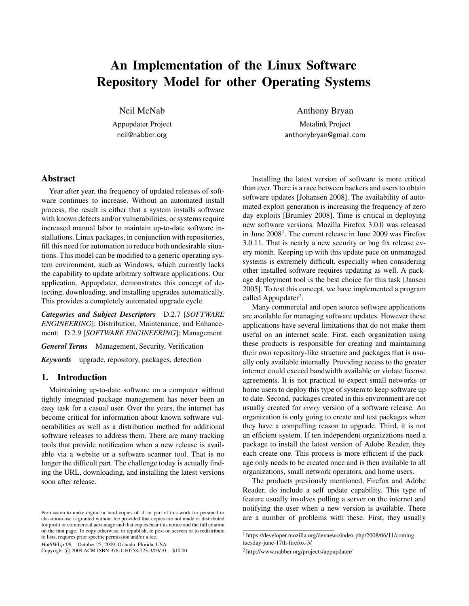# An Implementation of the Linux Software Repository Model for other Operating Systems

Neil McNab

Appupdater Project neil@nabber.org

Anthony Bryan

Metalink Project anthonybryan@gmail.com

# Abstract

Year after year, the frequency of updated releases of software continues to increase. Without an automated install process, the result is either that a system installs software with known defects and/or vulnerabilities, or systems require increased manual labor to maintain up-to-date software installations. Linux packages, in conjunction with repositories, fill this need for automation to reduce both undesirable situations. This model can be modified to a generic operating system environment, such as Windows, which currently lacks the capability to update arbitrary software applications. Our application, Appupdater, demonstrates this concept of detecting, downloading, and installing upgrades automatically. This provides a completely automated upgrade cycle.

*Categories and Subject Descriptors* D.2.7 [*SOFTWARE ENGINEERING*]: Distribution, Maintenance, and Enhancement; D.2.9 [*SOFTWARE ENGINEERING*]: Management

*General Terms* Management, Security, Verification

*Keywords* upgrade, repository, packages, detection

## 1. Introduction

Maintaining up-to-date software on a computer without tightly integrated package management has never been an easy task for a casual user. Over the years, the internet has become critical for information about known software vulnerabilities as well as a distribution method for additional software releases to address them. There are many tracking tools that provide notification when a new release is available via a website or a software scanner tool. That is no longer the difficult part. The challenge today is actually finding the URL, downloading, and installing the latest versions soon after release.

HotSWUp'09, October 25, 2009, Orlando, Florida, USA.

Copyright © 2009 ACM ISBN 978-1-60558-723-3/09/10... \$10.00

Installing the latest version of software is more critical than ever. There is a race between hackers and users to obtain software updates [Johansen 2008]. The availability of automated exploit generation is increasing the frequency of zero day exploits [Brumley 2008]. Time is critical in deploying new software versions. Mozilla Firefox 3.0.0 was released in June 2008<sup>1</sup>. The current release in June 2009 was Firefox 3.0.11. That is nearly a new security or bug fix release every month. Keeping up with this update pace on unmanaged systems is extremely difficult, especially when considering other installed software requires updating as well. A package deployment tool is the best choice for this task [Jansen 2005]. To test this concept, we have implemented a program called Appupdater<sup>2</sup>.

Many commercial and open source software applications are available for managing software updates. However these applications have several limitations that do not make them useful on an internet scale. First, each organization using these products is responsible for creating and maintaining their own repository-like structure and packages that is usually only available internally. Providing access to the greater internet could exceed bandwidth available or violate license agreements. It is not practical to expect small networks or home users to deploy this type of system to keep software up to date. Second, packages created in this environment are not usually created for *every* version of a software release. An organization is only going to create and test packages when they have a compelling reason to upgrade. Third, it is not an efficient system. If ten independent organizations need a package to install the latest version of Adobe Reader, they each create one. This process is more efficient if the package only needs to be created once and is then available to all organizations, small network operators, and home users.

The products previously mentioned, Firefox and Adobe Reader, do include a self update capability. This type of feature usually involves polling a server on the internet and notifying the user when a new version is available. There are a number of problems with these. First, they usually

Permission to make digital or hard copies of all or part of this work for personal or classroom use is granted without fee provided that copies are not made or distributed for profit or commercial advantage and that copies bear this notice and the full citation on the first page. To copy otherwise, to republish, to post on servers or to redistribute to lists, requires prior specific permission and/or a fee.

<sup>1</sup> https://developer.mozilla.org/devnews/index.php/2008/06/11/comingtuesday-june-17th-firefox-3/

<sup>2</sup> http://www.nabber.org/projects/appupdater/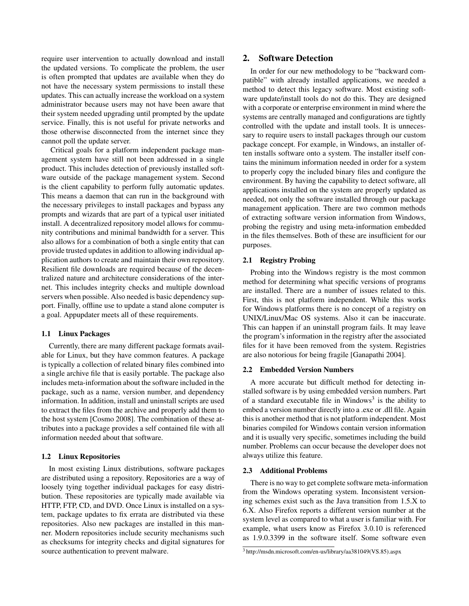require user intervention to actually download and install the updated versions. To complicate the problem, the user is often prompted that updates are available when they do not have the necessary system permissions to install these updates. This can actually increase the workload on a system administrator because users may not have been aware that their system needed upgrading until prompted by the update service. Finally, this is not useful for private networks and those otherwise disconnected from the internet since they cannot poll the update server.

Critical goals for a platform independent package management system have still not been addressed in a single product. This includes detection of previously installed software outside of the package management system. Second is the client capability to perform fully automatic updates. This means a daemon that can run in the background with the necessary privileges to install packages and bypass any prompts and wizards that are part of a typical user initiated install. A decentralized repository model allows for community contributions and minimal bandwidth for a server. This also allows for a combination of both a single entity that can provide trusted updates in addition to allowing individual application authors to create and maintain their own repository. Resilient file downloads are required because of the decentralized nature and architecture considerations of the internet. This includes integrity checks and multiple download servers when possible. Also needed is basic dependency support. Finally, offline use to update a stand alone computer is a goal. Appupdater meets all of these requirements.

## 1.1 Linux Packages

Currently, there are many different package formats available for Linux, but they have common features. A package is typically a collection of related binary files combined into a single archive file that is easily portable. The package also includes meta-information about the software included in the package, such as a name, version number, and dependency information. In addition, install and uninstall scripts are used to extract the files from the archive and properly add them to the host system [Cosmo 2008]. The combination of these attributes into a package provides a self contained file with all information needed about that software.

#### 1.2 Linux Repositories

In most existing Linux distributions, software packages are distributed using a repository. Repositories are a way of loosely tying together individual packages for easy distribution. These repositories are typically made available via HTTP, FTP, CD, and DVD. Once Linux is installed on a system, package updates to fix errata are distributed via these repositories. Also new packages are installed in this manner. Modern repositories include security mechanisms such as checksums for integrity checks and digital signatures for source authentication to prevent malware.

# 2. Software Detection

In order for our new methodology to be "backward compatible" with already installed applications, we needed a method to detect this legacy software. Most existing software update/install tools do not do this. They are designed with a corporate or enterprise environment in mind where the systems are centrally managed and configurations are tightly controlled with the update and install tools. It is unnecessary to require users to install packages through our custom package concept. For example, in Windows, an installer often installs software onto a system. The installer itself contains the minimum information needed in order for a system to properly copy the included binary files and configure the environment. By having the capability to detect software, all applications installed on the system are properly updated as needed, not only the software installed through our package management application. There are two common methods of extracting software version information from Windows, probing the registry and using meta-information embedded in the files themselves. Both of these are insufficient for our purposes.

#### 2.1 Registry Probing

Probing into the Windows registry is the most common method for determining what specific versions of programs are installed. There are a number of issues related to this. First, this is not platform independent. While this works for Windows platforms there is no concept of a registry on UNIX/Linux/Mac OS systems. Also it can be inaccurate. This can happen if an uninstall program fails. It may leave the program's information in the registry after the associated files for it have been removed from the system. Registries are also notorious for being fragile [Ganapathi 2004].

## 2.2 Embedded Version Numbers

A more accurate but difficult method for detecting installed software is by using embedded version numbers. Part of a standard executable file in Windows<sup>3</sup> is the ability to embed a version number directly into a .exe or .dll file. Again this is another method that is not platform independent. Most binaries compiled for Windows contain version information and it is usually very specific, sometimes including the build number. Problems can occur because the developer does not always utilize this feature.

#### 2.3 Additional Problems

There is no way to get complete software meta-information from the Windows operating system. Inconsistent versioning schemes exist such as the Java transition from 1.5.X to 6.X. Also Firefox reports a different version number at the system level as compared to what a user is familiar with. For example, what users know as Firefox 3.0.10 is referenced as 1.9.0.3399 in the software itself. Some software even

<sup>3</sup> http://msdn.microsoft.com/en-us/library/aa381049(VS.85).aspx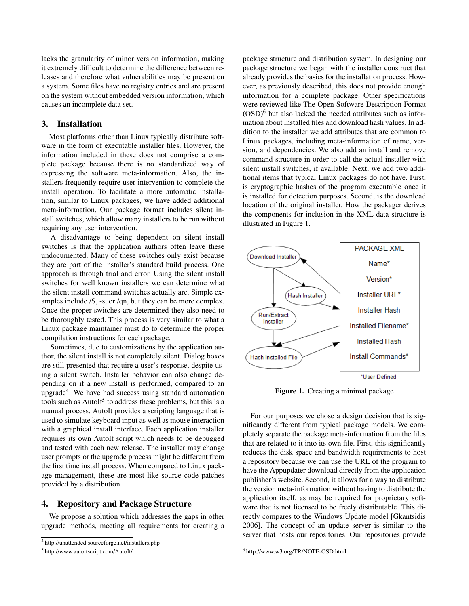lacks the granularity of minor version information, making it extremely difficult to determine the difference between releases and therefore what vulnerabilities may be present on a system. Some files have no registry entries and are present on the system without embedded version information, which causes an incomplete data set.

## 3. Installation

Most platforms other than Linux typically distribute software in the form of executable installer files. However, the information included in these does not comprise a complete package because there is no standardized way of expressing the software meta-information. Also, the installers frequently require user intervention to complete the install operation. To facilitate a more automatic installation, similar to Linux packages, we have added additional meta-information. Our package format includes silent install switches, which allow many installers to be run without requiring any user intervention.

A disadvantage to being dependent on silent install switches is that the application authors often leave these undocumented. Many of these switches only exist because they are part of the installer's standard build process. One approach is through trial and error. Using the silent install switches for well known installers we can determine what the silent install command switches actually are. Simple examples include /S, -s, or /qn, but they can be more complex. Once the proper switches are determined they also need to be thoroughly tested. This process is very similar to what a Linux package maintainer must do to determine the proper compilation instructions for each package.

Sometimes, due to customizations by the application author, the silent install is not completely silent. Dialog boxes are still presented that require a user's response, despite using a silent switch. Installer behavior can also change depending on if a new install is performed, compared to an upgrade<sup>4</sup> . We have had success using standard automation tools such as  $\text{AutoIt}^5$  to address these problems, but this is a manual process. AutoIt provides a scripting language that is used to simulate keyboard input as well as mouse interaction with a graphical install interface. Each application installer requires its own AutoIt script which needs to be debugged and tested with each new release. The installer may change user prompts or the upgrade process might be different from the first time install process. When compared to Linux package management, these are most like source code patches provided by a distribution.

## 4. Repository and Package Structure

We propose a solution which addresses the gaps in other upgrade methods, meeting all requirements for creating a package structure and distribution system. In designing our package structure we began with the installer construct that already provides the basics for the installation process. However, as previously described, this does not provide enough information for a complete package. Other specifications were reviewed like The Open Software Description Format  $(OSD)<sup>6</sup>$  but also lacked the needed attributes such as information about installed files and download hash values. In addition to the installer we add attributes that are common to Linux packages, including meta-information of name, version, and dependencies. We also add an install and remove command structure in order to call the actual installer with silent install switches, if available. Next, we add two additional items that typical Linux packages do not have. First, is cryptographic hashes of the program executable once it is installed for detection purposes. Second, is the download location of the original installer. How the packager derives the components for inclusion in the XML data structure is illustrated in Figure 1.



Figure 1. Creating a minimal package

For our purposes we chose a design decision that is significantly different from typical package models. We completely separate the package meta-information from the files that are related to it into its own file. First, this significantly reduces the disk space and bandwidth requirements to host a repository because we can use the URL of the program to have the Appupdater download directly from the application publisher's website. Second, it allows for a way to distribute the version meta-information without having to distribute the application itself, as may be required for proprietary software that is not licensed to be freely distributable. This directly compares to the Windows Update model [Gkantsidis 2006]. The concept of an update server is similar to the server that hosts our repositories. Our repositories provide

<sup>4</sup> http://unattended.sourceforge.net/installers.php

<sup>5</sup> http://www.autoitscript.com/AutoIt/

<sup>6</sup> http://www.w3.org/TR/NOTE-OSD.html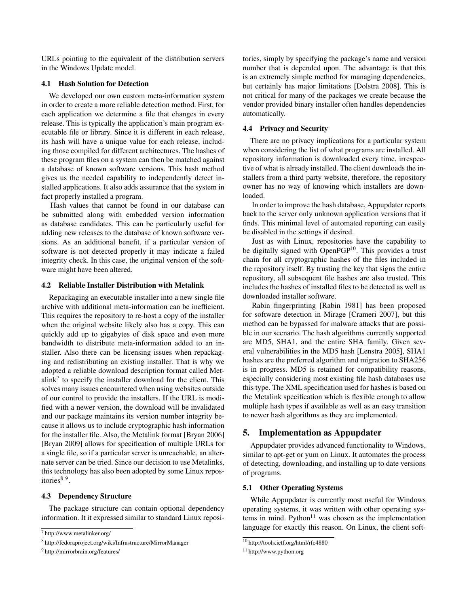URLs pointing to the equivalent of the distribution servers in the Windows Update model.

#### 4.1 Hash Solution for Detection

We developed our own custom meta-information system in order to create a more reliable detection method. First, for each application we determine a file that changes in every release. This is typically the application's main program executable file or library. Since it is different in each release, its hash will have a unique value for each release, including those compiled for different architectures. The hashes of these program files on a system can then be matched against a database of known software versions. This hash method gives us the needed capability to independently detect installed applications. It also adds assurance that the system in fact properly installed a program.

Hash values that cannot be found in our database can be submitted along with embedded version information as database candidates. This can be particularly useful for adding new releases to the database of known software versions. As an additional benefit, if a particular version of software is not detected properly it may indicate a failed integrity check. In this case, the original version of the software might have been altered.

#### 4.2 Reliable Installer Distribution with Metalink

Repackaging an executable installer into a new single file archive with additional meta-information can be inefficient. This requires the repository to re-host a copy of the installer when the original website likely also has a copy. This can quickly add up to gigabytes of disk space and even more bandwidth to distribute meta-information added to an installer. Also there can be licensing issues when repackaging and redistributing an existing installer. That is why we adopted a reliable download description format called Met- $\text{alink}^7$  to specify the installer download for the client. This solves many issues encountered when using websites outside of our control to provide the installers. If the URL is modified with a newer version, the download will be invalidated and our package maintains its version number integrity because it allows us to include cryptographic hash information for the installer file. Also, the Metalink format [Bryan 2006] [Bryan 2009] allows for specification of multiple URLs for a single file, so if a particular server is unreachable, an alternate server can be tried. Since our decision to use Metalinks, this technology has also been adopted by some Linux repositories<sup>89</sup>.

## 4.3 Dependency Structure

The package structure can contain optional dependency information. It it expressed similar to standard Linux reposi-

<sup>9</sup> http://mirrorbrain.org/features/

tories, simply by specifying the package's name and version number that is depended upon. The advantage is that this is an extremely simple method for managing dependencies, but certainly has major limitations [Dolstra 2008]. This is not critical for many of the packages we create because the vendor provided binary installer often handles dependencies automatically.

## 4.4 Privacy and Security

There are no privacy implications for a particular system when considering the list of what programs are installed. All repository information is downloaded every time, irrespective of what is already installed. The client downloads the installers from a third party website, therefore, the repository owner has no way of knowing which installers are downloaded.

In order to improve the hash database, Appupdater reports back to the server only unknown application versions that it finds. This minimal level of automated reporting can easily be disabled in the settings if desired.

Just as with Linux, repositories have the capability to be digitally signed with OpenPGP<sup>10</sup>. This provides a trust chain for all cryptographic hashes of the files included in the repository itself. By trusting the key that signs the entire repository, all subsequent file hashes are also trusted. This includes the hashes of installed files to be detected as well as downloaded installer software.

Rabin fingerprinting [Rabin 1981] has been proposed for software detection in Mirage [Crameri 2007], but this method can be bypassed for malware attacks that are possible in our scenario. The hash algorithms currently supported are MD5, SHA1, and the entire SHA family. Given several vulnerabilities in the MD5 hash [Lenstra 2005], SHA1 hashes are the preferred algorithm and migration to SHA256 is in progress. MD5 is retained for compatibility reasons, especially considering most existing file hash databases use this type. The XML specification used for hashes is based on the Metalink specification which is flexible enough to allow multiple hash types if available as well as an easy transition to newer hash algorithms as they are implemented.

# 5. Implementation as Appupdater

Appupdater provides advanced functionality to Windows, similar to apt-get or yum on Linux. It automates the process of detecting, downloading, and installing up to date versions of programs.

# 5.1 Other Operating Systems

While Appupdater is currently most useful for Windows operating systems, it was written with other operating systems in mind. Python $11$  was chosen as the implementation language for exactly this reason. On Linux, the client soft-

<sup>7</sup> http://www.metalinker.org/

<sup>8</sup> http://fedoraproject.org/wiki/Infrastructure/MirrorManager

<sup>10</sup> http://tools.ietf.org/html/rfc4880

<sup>11</sup> http://www.python.org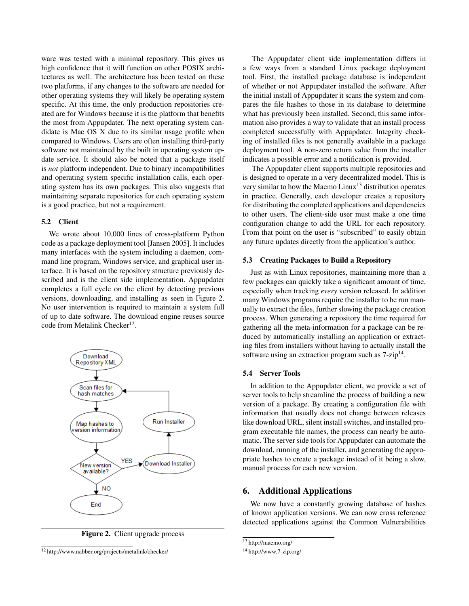ware was tested with a minimal repository. This gives us high confidence that it will function on other POSIX architectures as well. The architecture has been tested on these two platforms, if any changes to the software are needed for other operating systems they will likely be operating system specific. At this time, the only production repositories created are for Windows because it is the platform that benefits the most from Appupdater. The next operating system candidate is Mac OS X due to its similar usage profile when compared to Windows. Users are often installing third-party software not maintained by the built in operating system update service. It should also be noted that a package itself is *not* platform independent. Due to binary incompatibilities and operating system specific installation calls, each operating system has its own packages. This also suggests that maintaining separate repositories for each operating system is a good practice, but not a requirement.

#### 5.2 Client

We wrote about 10,000 lines of cross-platform Python code as a package deployment tool [Jansen 2005]. It includes many interfaces with the system including a daemon, command line program, Windows service, and graphical user interface. It is based on the repository structure previously described and is the client side implementation. Appupdater completes a full cycle on the client by detecting previous versions, downloading, and installing as seen in Figure 2. No user intervention is required to maintain a system full of up to date software. The download engine reuses source code from Metalink Checker<sup>12</sup>.



Figure 2. Client upgrade process

<sup>12</sup> http://www.nabber.org/projects/metalink/checker/

The Appupdater client side implementation differs in a few ways from a standard Linux package deployment tool. First, the installed package database is independent of whether or not Appupdater installed the software. After the initial install of Appupdater it scans the system and compares the file hashes to those in its database to determine what has previously been installed. Second, this same information also provides a way to validate that an install process completed successfully with Appupdater. Integrity checking of installed files is not generally available in a package deployment tool. A non-zero return value from the installer indicates a possible error and a notification is provided.

The Appupdater client supports multiple repositories and is designed to operate in a very decentralized model. This is very similar to how the Maemo Linux<sup>13</sup> distribution operates in practice. Generally, each developer creates a repository for distributing the completed applications and dependencies to other users. The client-side user must make a one time configuration change to add the URL for each repository. From that point on the user is "subscribed" to easily obtain any future updates directly from the application's author.

## 5.3 Creating Packages to Build a Repository

Just as with Linux repositories, maintaining more than a few packages can quickly take a significant amount of time, especially when tracking *every* version released. In addition many Windows programs require the installer to be run manually to extract the files, further slowing the package creation process. When generating a repository the time required for gathering all the meta-information for a package can be reduced by automatically installing an application or extracting files from installers without having to actually install the software using an extraction program such as  $7$ -zip $14$ .

## 5.4 Server Tools

In addition to the Appupdater client, we provide a set of server tools to help streamline the process of building a new version of a package. By creating a configuration file with information that usually does not change between releases like download URL, silent install switches, and installed program executable file names, the process can nearly be automatic. The server side tools for Appupdater can automate the download, running of the installer, and generating the appropriate hashes to create a package instead of it being a slow, manual process for each new version.

## 6. Additional Applications

We now have a constantly growing database of hashes of known application versions. We can now cross reference detected applications against the Common Vulnerabilities

<sup>13</sup> http://maemo.org/

<sup>14</sup> http://www.7-zip.org/